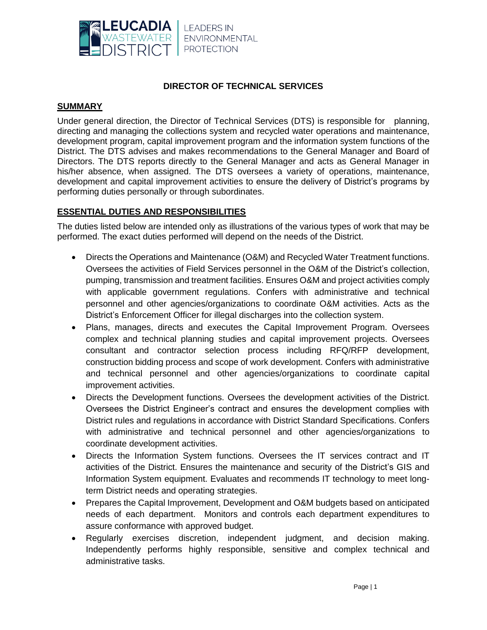

# **DIRECTOR OF TECHNICAL SERVICES**

#### **SUMMARY**

Under general direction, the Director of Technical Services (DTS) is responsible for planning, directing and managing the collections system and recycled water operations and maintenance, development program, capital improvement program and the information system functions of the District. The DTS advises and makes recommendations to the General Manager and Board of Directors. The DTS reports directly to the General Manager and acts as General Manager in his/her absence, when assigned. The DTS oversees a variety of operations, maintenance, development and capital improvement activities to ensure the delivery of District's programs by performing duties personally or through subordinates.

# **ESSENTIAL DUTIES AND RESPONSIBILITIES**

The duties listed below are intended only as illustrations of the various types of work that may be performed. The exact duties performed will depend on the needs of the District.

- Directs the Operations and Maintenance (O&M) and Recycled Water Treatment functions. Oversees the activities of Field Services personnel in the O&M of the District's collection, pumping, transmission and treatment facilities. Ensures O&M and project activities comply with applicable government regulations. Confers with administrative and technical personnel and other agencies/organizations to coordinate O&M activities. Acts as the District's Enforcement Officer for illegal discharges into the collection system.
- Plans, manages, directs and executes the Capital Improvement Program. Oversees complex and technical planning studies and capital improvement projects. Oversees consultant and contractor selection process including RFQ/RFP development, construction bidding process and scope of work development. Confers with administrative and technical personnel and other agencies/organizations to coordinate capital improvement activities.
- Directs the Development functions. Oversees the development activities of the District. Oversees the District Engineer's contract and ensures the development complies with District rules and regulations in accordance with District Standard Specifications. Confers with administrative and technical personnel and other agencies/organizations to coordinate development activities.
- Directs the Information System functions. Oversees the IT services contract and IT activities of the District. Ensures the maintenance and security of the District's GIS and Information System equipment. Evaluates and recommends IT technology to meet longterm District needs and operating strategies.
- Prepares the Capital Improvement, Development and O&M budgets based on anticipated needs of each department. Monitors and controls each department expenditures to assure conformance with approved budget.
- Regularly exercises discretion, independent judgment, and decision making. Independently performs highly responsible, sensitive and complex technical and administrative tasks.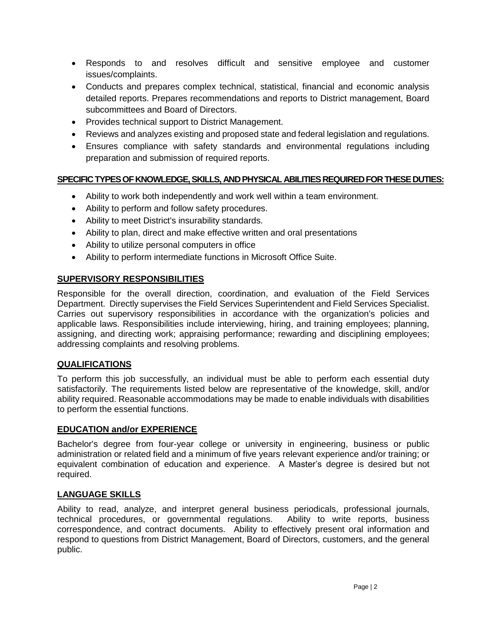- Responds to and resolves difficult and sensitive employee and customer issues/complaints.
- Conducts and prepares complex technical, statistical, financial and economic analysis detailed reports. Prepares recommendations and reports to District management, Board subcommittees and Board of Directors.
- Provides technical support to District Management.
- Reviews and analyzes existing and proposed state and federal legislation and regulations.
- Ensures compliance with safety standards and environmental regulations including preparation and submission of required reports.

# **SPECIFIC TYPES OF KNOWLEDGE, SKILLS, AND PHYSICAL ABILITIES REQUIRED FOR THESE DUTIES:**

- Ability to work both independently and work well within a team environment.
- Ability to perform and follow safety procedures.
- Ability to meet District's insurability standards.
- Ability to plan, direct and make effective written and oral presentations
- Ability to utilize personal computers in office
- Ability to perform intermediate functions in Microsoft Office Suite.

# **SUPERVISORY RESPONSIBILITIES**

Responsible for the overall direction, coordination, and evaluation of the Field Services Department. Directly supervises the Field Services Superintendent and Field Services Specialist. Carries out supervisory responsibilities in accordance with the organization's policies and applicable laws. Responsibilities include interviewing, hiring, and training employees; planning, assigning, and directing work; appraising performance; rewarding and disciplining employees; addressing complaints and resolving problems.

# **QUALIFICATIONS**

To perform this job successfully, an individual must be able to perform each essential duty satisfactorily. The requirements listed below are representative of the knowledge, skill, and/or ability required. Reasonable accommodations may be made to enable individuals with disabilities to perform the essential functions.

# **EDUCATION and/or EXPERIENCE**

Bachelor's degree from four-year college or university in engineering, business or public administration or related field and a minimum of five years relevant experience and/or training; or equivalent combination of education and experience. A Master's degree is desired but not required.

# **LANGUAGE SKILLS**

Ability to read, analyze, and interpret general business periodicals, professional journals, technical procedures, or governmental regulations. Ability to write reports, business correspondence, and contract documents. Ability to effectively present oral information and respond to questions from District Management, Board of Directors, customers, and the general public.